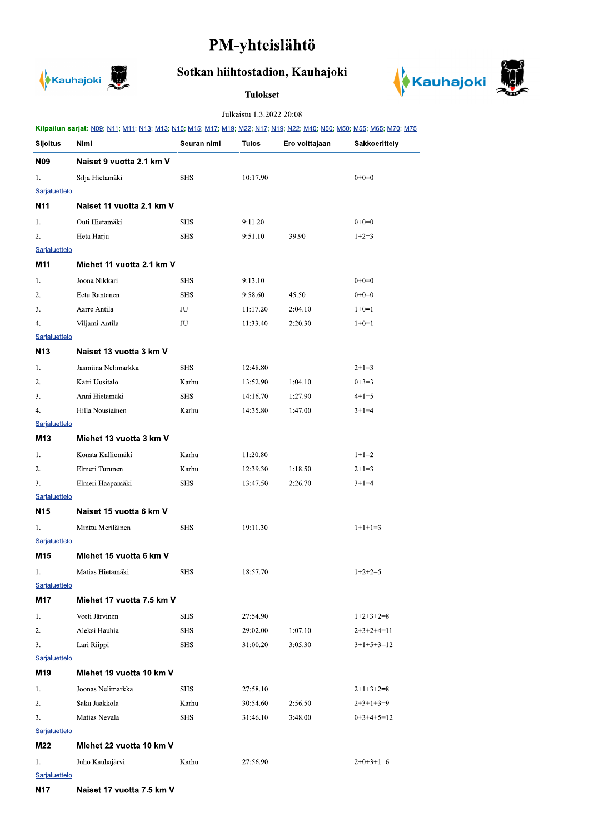## PM-yhteislähtö



## Sotkan hiihtostadion, Kauhajoki

## **Tulokset**



## Julkaistu 1.3.2022 20:08

|                      | Kilpailun sarjat: N09; N11; M11; N13; M13; N15; M15; M17; M19; M22; N17; N19; N22; M40; N50; M50; M55; M65; M70; M75 |             |          |                |                      |  |  |  |  |
|----------------------|----------------------------------------------------------------------------------------------------------------------|-------------|----------|----------------|----------------------|--|--|--|--|
| <b>Sijoitus</b>      | Nimi                                                                                                                 | Seuran nimi | Tulos    | Ero voittajaan | <b>Sakkoerittely</b> |  |  |  |  |
| <b>N09</b>           | Naiset 9 vuotta 2.1 km V                                                                                             |             |          |                |                      |  |  |  |  |
| 1.                   | Silja Hietamäki                                                                                                      | <b>SHS</b>  | 10:17.90 |                | $0+0=0$              |  |  |  |  |
| Sarjaluettelo        |                                                                                                                      |             |          |                |                      |  |  |  |  |
| N <sub>11</sub>      | Naiset 11 vuotta 2.1 km V                                                                                            |             |          |                |                      |  |  |  |  |
| 1.                   | Outi Hietamäki                                                                                                       | <b>SHS</b>  | 9:11.20  |                | $0+0=0$              |  |  |  |  |
| 2.                   | Heta Harju                                                                                                           | <b>SHS</b>  | 9:51.10  | 39.90          | $1+2=3$              |  |  |  |  |
| Sarjaluettelo        |                                                                                                                      |             |          |                |                      |  |  |  |  |
| M11                  | Miehet 11 vuotta 2.1 km V                                                                                            |             |          |                |                      |  |  |  |  |
| 1.                   | Joona Nikkari                                                                                                        | <b>SHS</b>  | 9:13.10  |                | $0+0=0$              |  |  |  |  |
| 2.                   | Eetu Rantanen                                                                                                        | <b>SHS</b>  | 9:58.60  | 45.50          | $0+0=0$              |  |  |  |  |
| 3.                   | Aarre Antila                                                                                                         | JU          | 11:17.20 | 2:04.10        | $1+0=1$              |  |  |  |  |
| 4.                   | Viljami Antila                                                                                                       | JU          | 11:33.40 | 2:20.30        | $1+0=1$              |  |  |  |  |
| Sarjaluettelo        |                                                                                                                      |             |          |                |                      |  |  |  |  |
| N <sub>13</sub>      | Naiset 13 vuotta 3 km V                                                                                              |             |          |                |                      |  |  |  |  |
| 1.                   | Jasmiina Nelimarkka                                                                                                  | <b>SHS</b>  | 12:48.80 |                | $2+1=3$              |  |  |  |  |
| 2.                   | Katri Uusitalo                                                                                                       | Karhu       | 13:52.90 | 1:04.10        | $0+3=3$              |  |  |  |  |
| 3.                   | Anni Hietamäki                                                                                                       | <b>SHS</b>  | 14:16.70 | 1:27.90        | $4+1=5$              |  |  |  |  |
| 4.                   | Hilla Nousiainen                                                                                                     | Karhu       | 14:35.80 | 1:47.00        | $3+1=4$              |  |  |  |  |
| Sarjaluettelo        |                                                                                                                      |             |          |                |                      |  |  |  |  |
| M13                  | Miehet 13 vuotta 3 km V                                                                                              |             |          |                |                      |  |  |  |  |
| 1.                   | Konsta Kalliomäki                                                                                                    | Karhu       | 11:20.80 |                | $1+1=2$              |  |  |  |  |
| 2.                   | Elmeri Turunen                                                                                                       | Karhu       | 12:39.30 | 1:18.50        | $2+1=3$              |  |  |  |  |
| 3.                   | Elmeri Haapamäki                                                                                                     | <b>SHS</b>  | 13:47.50 | 2:26.70        | $3+1=4$              |  |  |  |  |
| Sarjaluettelo        |                                                                                                                      |             |          |                |                      |  |  |  |  |
| N <sub>15</sub>      | Naiset 15 vuotta 6 km V                                                                                              |             |          |                |                      |  |  |  |  |
| 1.                   | Minttu Meriläinen                                                                                                    | <b>SHS</b>  | 19:11.30 |                | $1+1+1=3$            |  |  |  |  |
| Sarjaluettelo        |                                                                                                                      |             |          |                |                      |  |  |  |  |
| M15                  | Miehet 15 vuotta 6 km V                                                                                              |             |          |                |                      |  |  |  |  |
| 1.                   | Matias Hietamäki                                                                                                     | SHS         | 18:57.70 |                | $1+2+2=5$            |  |  |  |  |
| Sarjaluettelo        |                                                                                                                      |             |          |                |                      |  |  |  |  |
| M17                  | Miehet 17 vuotta 7.5 km V                                                                                            |             |          |                |                      |  |  |  |  |
| 1.                   | Veeti Järvinen                                                                                                       | <b>SHS</b>  | 27:54.90 |                | $1+2+3+2=8$          |  |  |  |  |
| 2.                   | Aleksi Hauhia                                                                                                        | <b>SHS</b>  | 29:02.00 | 1:07.10        | $2+3+2+4=11$         |  |  |  |  |
| 3.                   | Lari Riippi                                                                                                          | <b>SHS</b>  | 31:00.20 | 3:05.30        | $3+1+5+3=12$         |  |  |  |  |
| Sarjaluettelo        |                                                                                                                      |             |          |                |                      |  |  |  |  |
| M19                  | Miehet 19 vuotta 10 km V                                                                                             |             |          |                |                      |  |  |  |  |
| 1.                   | Joonas Nelimarkka                                                                                                    | <b>SHS</b>  | 27:58.10 |                | $2+1+3+2=8$          |  |  |  |  |
| 2.                   | Saku Jaakkola                                                                                                        | Karhu       | 30:54.60 | 2:56.50        | $2+3+1+3=9$          |  |  |  |  |
| 3.                   | Matias Nevala                                                                                                        | <b>SHS</b>  | 31:46.10 | 3:48.00        | $0+3+4+5=12$         |  |  |  |  |
| <b>Sarjaluettelo</b> |                                                                                                                      |             |          |                |                      |  |  |  |  |
| M22                  | Miehet 22 vuotta 10 km V                                                                                             |             |          |                |                      |  |  |  |  |
| 1.                   | Juho Kauhajärvi                                                                                                      | Karhu       | 27:56.90 |                | $2+0+3+1=6$          |  |  |  |  |
| Sarjaluettelo        |                                                                                                                      |             |          |                |                      |  |  |  |  |